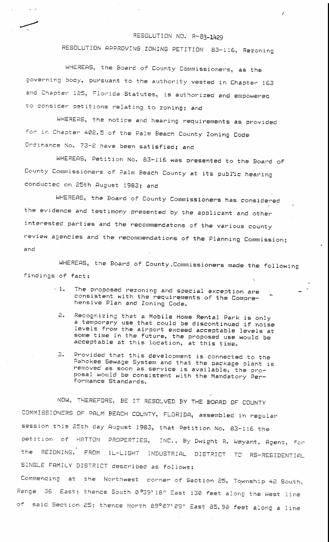## RESOLUTION NO. R-83-1429

I

RESOLUTION APPROVING ZONING PETITION 83-116, Rezoning

WHEREAS, the Board of County Commissioners, as the governing body, pursuant to the authority vested in Chapter 163 and Chapter 125, Florida Statutes, is authorized and empowered to consider petitions relating to zoning; and

 $\mathbf{r}$ 

WHEREAS, the notice and hearing requirements as provided in Chapter 402.5 of the Palm Beach County Ordinance No. 73-2 have been satisfied; and

WHEREAS, Petition No. 83-116 was presented to the Board of County Commissioners of Palm Beach County at its public hearing conducted on 25th August 1983; and

WHEREAS, the Board of County Commissioners has considered the evidence and testimony presented by the applicant and other interested parties and the recommendatons of the various county review agencies and the recommendations of the Planning Commission; and

WHEREAS, the Board of County.Commissioners made the following findings of fact:

- $\cdot$  1. The proposed rezoning and special exception are consistent with the requirements of the Comprehensive Plan and Zoning Code.
	- 2. Recognizing that a Mobile Home Rental Park is only a temporary use that could be discontinued if noise levels from the airport exceed acceptable levels at some time in the future, the proposed use would be acceptable at this location, at this time.
- 3. Provided that this development is connected to the Gahokee Sewage System and that the package plant is removed as soon as service is available, the proposal would be consistent with the Mandatory Performance Standards.

NOW, THEREFORE, BE IT RESOLVED BY THE BOARD OF COUNTY COMMISSIONERS OF PALM BEACH COUNTY, FLORIDA, assembled in regular session this 25th day August 1983, that Petition No. 83-116 the petition of HATTON PROPERTIES, INC., By Dwight R. Weyant, Agent, for the REZONING, FROM IL-LIGHT INDUSTRIAL DISTRICT TO RS-RESIDENTIAL SINGLE FAMILY DISTRICT described as follows:

Commencing at the Northwest corner of Section 25. Township 42 South, Range 36 East; thence South 0°39'18" East 130 feet along the West line of said Section 25; thence North 89°07'09" East 85.90 feet along a line<sup>.</sup>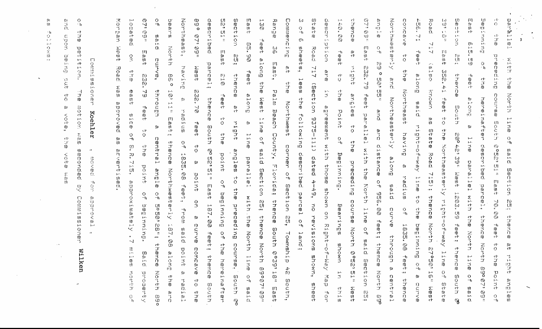$\frac{0}{0}$ na in  $\begin{smallmatrix} 01\ 01\ 0 \end{smallmatrix}$ 一個 Rang  $\frac{5}{12}$ このことにありますから  $\frac{1}{2}$  $\frac{\omega}{\omega}$  $\frac{1}{2}$  . とりてわし 申り出す Commexcing さつのさりゆ ありけ  $\frac{1}{2}$ io<br>Dio Ō.  $\overline{10}$  $\overline{\mathbf{c}}$ ក្ស<br>!ព  $\sum_{n=1}^{\infty}$ in)  $\hat{\vec{\Omega}}$  $\mathbf{C}$ IÙ. ្រ<br>ព្រ  $\ddot{\rm{O}}$  $\omega$  $\overline{6}$  $\frac{21}{1}$ Ŵ  $\mathbf{u}$  $\mathbf{o}$  $\epsilon$ 剪子形  $\begin{array}{c} 0 \\ 0 \\ 1 \end{array}$ atte.  $\mathbf{U}$  $\infty$  $\mathbf{t}_1$  .  $\mathbf{t}_2$ ËЪ.  $\mathbf{r}$ сh **Butuut**  $-\hat{\mathbf{T}}$ crided el<br>Ol<br>M  $\sigma\tau$ かくむ  $\ddot{\phantom{0}}$  $\mathbf{U}\mathbf{I}$ p. ΪÜ fÜ.  $\Xi$  $\frac{1}{2}$  $\mathbf{10}$  $\mathbf{p}(\mathbf{a})$  $\sim$  $\frac{1}{3}$  $\Box$  $\mathbb{R}^2$  $\frac{0}{5}$  $\pm$ ed.<br>Cu  $\frac{1}{9}$  $\rm{m}$ Ч, asion **POTTER**  $\mathbb{S}^{n}$ 日日日 sheets, Road  $\frac{\mathbb{O}}{\mathbb{H}_{1}}$ ្រ)<br>ក្រ  $1\sigma$  $\Phi^{\mu\nu\sigma}$  $1 - 1$  $\frac{\omega}{\epsilon t}$ 罚单件 **Haat**  $\frac{\partial}{\partial \theta}$ 中心中  $\sim\!1$ ŗŋ  $\mathop{ \mathbb{Q}\atop \mathbb{Q} }_n$  $\frac{6}{5}$  $\mathop \mathrm{CH} \limits_{\mathop{\longrightarrow}\limits^{\mathop{\mathrm{TM}}\nolimits}}$ đ. **つうゆりのないざむ**  $\frac{0}{2}$  $\begin{array}{c} 8 \\ 14 \\ 34 \\ 45 \end{array}$ **Guote**  $\frac{\Theta}{\Phi}$ tu<br>W 開催<br>脚<br>砕  $\mathbb{C}\Gamma$ pancell  $\vec{\tau}$  $\hat{\mathbf{u}}$ Having 717 **Manu Aaat**  $\frac{\Omega}{\varepsilon^+}$ **272.79**  $\frac{1}{4}$ ee t i<br>San<br>O  $\frac{10}{10}$  $\frac{1}{2}$ **DDD**, teet  $\circ$ Brong  $\overset{\text{\tiny{(D)}}}{\mathbb{C}}$  $\frac{1}{2}$  $\frac{\sigma}{Q}$ さいのいの けつのづりの  $-t_1$  $\tilde{\mathbb{S}}$  $\begin{array}{c} 0 \\ 3 \\ 0 \end{array}$  $\frac{c\bar{t}}{c\bar{b}}$  $\frac{1}{2}$ 血中  $\frac{c\uparrow}{m}$ ن<br>مال<br>ته **CBBCtion**  $\frac{dt}{dt}$  $\circ$ anong  $\frac{1}{4}$  eVi  $\frac{1}{4}$  $\frac{\Omega}{\Omega}$ **MONDAY**  $\mathbb{R}^3$ Northeast **Palm Beach** 计可服 **232.70** 01 市町市 **Norder** 小田中 angles Bennee 医血机汁 Kuntheadterix ਾ<br>ਗੁ  $\frac{\rm{B}}{\rm{h}}$ コのうのいろのかみのる きしゅうしゅ **Northweet** in particle று<br>எ  $\frac{1}{2}$  $\frac{1}{3}$ agrement with Bouth  $\frac{9}{D}$ **Rotage** point partered Following **Elime** 111-52-11 đ.  $\overline{\Gamma}$  $\mathcal{O}$ aui<sub>1</sub>  $\frac{10}{10}$  $\frac{1}{\sqrt{2}}$  $\dot{W}$ **Coutch**  $\frac{1}{2}$  $\frac{1}{4}$ <br>and  $\frac{1}{4}$ Bouth  $_{\rm O}^{\rm ct}$ **Address**  $\mathbf{u}$ 可计 and diatance のみみ **SOSSIONSSOSSIV**  $\frac{1}{2}$  $\frac{1}{2}$  i  $\frac{1}{2}$ having Fee age on Eaunty,  $\omega_{\rm eff}$  $\frac{Q}{\Box h}$  $\frac{\Omega}{\varepsilon\hbar}$  $\ddot{\text{C}}$ دي.<br>د مو  $\frac{\mathsf{Q}}{\mathsf{H}}$ ና<br>ፓ<br>መ **Shence**  $-<sub>h</sub>$  $\mathbb{C}$ ago ch<br>O  $\frac{1}{10}$ COMMON  $\mathbf m$ 385033080 Mit D ia al 10 10<br>10<br>11 ွ  $\begin{array}{c} \mathbb{B} \\ \mathbb{B} \end{array}$ Road<br>Road 1000,00 teet point 0.用语口子:10用口 **Mediryships**  $d$ ated 4-49,  $\frac{1}{2}$ **Endore** 一、三、八田八 parallel  $\alpha$  $\mathbf{Q}$ **Disceptive** parallel 임금 in<br>M asou? Florida;  $\mathbf{u}$ 다<br>대<br>미 tu<br>=  $\begin{array}{c} 0 \\ 0 \\ 1 \\ 0 \\ 4 \end{array}$ Northweet **Section**  $\frac{\Theta}{\tau h}$ point  $4 \equiv \Xi \, \Xi$  $\sum_{i=1}^l$ aut<sub>i</sub>  $\overset{\text{cf}}{0}$ **Padius**  $\frac{1}{6}$  $\frac{Q}{\Box h}$  $\frac{\Box}{\Box}$  $\overline{11}$ **North**  $7587$ ieaid<br>D a<br>a<br>a parcel, 中日子 Outlet 101  $\frac{1}{2}$ Shown on -996 Butuutaq parcel 1602.09  $\frac{\partial}{\partial \theta}$ E<br>H<br>H<br>H<br>H with the けいこうの  $\mathop{\mathrm{m}}\limits_{\alpha\beta}$  $\tilde{\mathbf{u}}$ させのコセーロホーをのく  $76\,$  $\frac{9}{5}$ Contra North therice **DIGOOD** mo reiveiche **Krue**  $\frac{1}{2} \boxtimes 7.$ Bearings **TVG**<br>BOB line  $\frac{\Theta}{\Box h}$ 다<br>규 OO + Bat evend S. ួក<br>ព្ er<br>D thence  $\mathbf{u}$ chenere **Shence** QŊ  $\frac{\sigma}{\sigma h}$ Right tion. **North**  $-<sub>h</sub>$ Euruutaa ~h **187.08** ロミマく申 ia al 1 C Bouth  $\frac{\tilde{Q}}{4}$  $\frac{1}{9}$ 中心中  $\begin{array}{c}\n\overline{1} \\
\overline{1} \\
\overline{1}\n\end{array}$ North  $\frac{\tilde{D}}{\tilde{D}}$  $\begin{array}{c} \frac{1}{2} \\ \frac{1}{2} \\ \frac{1}{2} \end{array}$ larid North Townsh theugh  $\cdot$ a a pies.  $\alpha$ e<br>B g)<br>cf  $\frac{c_1}{D}$ **Shown** thence **Noven** course, North  $\mathbb{C}\mathbb{P}$ Aem-For  $\ddot{\sigma}$ point eventes E7°50' けいのうりゅ  $\zeta_{\rm 200}$ **Boster** ENTE  $\alpha$ يې<br>پ aut!  $\frac{m}{2}$  $\frac{1}{2}$ 다<br>그<br>마 البيتة  $\mu$  . teet  $\mathbf{I}^{\mathrm{out}}$ thence  $\frac{1}{10}$  $\mathfrak{g}^0$  $\overline{\mathbf{C}}$ hermeina  $\frac{1}{2}$ **IOMM,** ឃ្មុំ 6GG  $59007$  $\mathfrak{g}_1$  $\perp$ g, North η<br>Ο<br>Η  $\begin{bmatrix} 1 & 1 \\ 1 & 1 \\ 1 & 1 \end{bmatrix}$  $\frac{\dot{\mathbf{Q}}}{\mathbf{q}_\mathrm{I}}$  $\overline{\mathbb{O}}_z$  $\overset{\leftrightarrow}{\mathbb{B}}$ र्न<br>न  $\sin\alpha$  $\mathbf{L}^{\mathbf{A}}$ ŤЭ.  $\frac{\dot{\mathbf{Q}}}{-\mathbf{h}}$ 江口  $\frac{\mathbb{O}}{-\mathfrak{t}_1}$  $\frac{1}{2}$ Ø 计可 **South Bo UBITIEN** South Ø **Ende** i<br>Der  $\frac{1}{2}$  $\frac{1}{2}$ South, ςŀ **Cherles** Bouth **u**<br>deed りらくゆ  $\frac{\Box}{\Box \Gamma}$  $\overline{\mathbf{U}}$ いけんかん u ai d Neet  $\frac{10}{11}$ 中心的 小田子 红马山十  $\mathbb{S}_{\mathbb{C}}$ et<br>J<br>Q  $\mathbb{G} \mathbb{G}$  : 1日 卯 六  $\frac{1}{2}$  $\prod_{i=1}^{D-1}$ ana<br>D  $\frac{1}{2}$  . စ္<br>ဖွ  $\frac{\Omega}{\varepsilon h}$ ת<br>תו  $\Omega.$ 

 $\omega$ 

 $\omega$ 

CJ.

 $\mathbb{C}\mathbb{R}$ 

ŋ.

 $\frac{\mathfrak{B}}{\mathfrak{D}}$ Ō.  $\cdot$   $\bf{1}_{1}$ **ct**  $\frac{\gamma}{10}$  $\mathbb{C}^*$ iag<br>B  $\frac{\text{U}}{\text{10}}$ **Gunead**  $\mathbb{C}^1$  $\mathbf{E}^{\mathbf{H}}$  $\Box$  $\frac{e^+}{1+e^+}$ **DENTIS**  $\frac{1}{2}$ ा<br>प्र IJГ in  $\mathbf{L} \cdot \mathbf{I}$  .  $\frac{-1}{10}$ ロマリフ et.<br>O  $0s$ **SOLDER** Koehler  $\frac{\zeta}{\mathbb{G}}$ IU. 东面  $\mathcal{C}\mathcal{V}$ U.  $\overline{10}$  $\sim$   $\!$ **項目のつきに思い** K. ्री.<br>वैः ごうくの ロ ĤJ. e e e  $\frac{1}{2}$  $\mathbb{Q}$ **Comm**:  $\mathbf{u}$ **UUSOKBU**  $\mathbf{1} \cdot \mathbf{3}$  $\mathbf{u}$  $\mathbf{E}$  $\mathbb{H}^1$ dener Wilken

**ROM** 

μä

 $\frac{1}{2}$ 

江田田守

**Road** 

医虫卵

かわりろりくの()

 $\frac{1}{3}$ 

からくのづけいののは

 $\sim$ 

 $\Omega$ 

 $\mathbf{H}$ 

 $\Omega$ 

 $-$ 

 $\stackrel{0}{\Omega}.$ 

 $\frac{0}{3}$ 

 $\frac{c\bar{r}}{c\bar{p}}$ 

中国中心

 $\frac{11}{12}$ 

 $\frac{\Omega}{\Omega}$ 

 $\frac{\dot{Q}}{\dot{\tau}}$ 

 $\mathfrak{g}$ 

 $\mathbb{R}^1$ 

 $7.15$ 

Vietnater

 $\mathbf{r}$ 

 $\sim$ 

 $\Xi$ 

 $\frac{1}{9}$ 

**Northh** 

 $\frac{\dot{Q}}{\dot{q}_1}$ 

 $\mathbb O$ 

 $\begin{array}{c} 0 \\ 0 \\ 1 \\ 0 \end{array}$ 

curve,

through

 $\mathfrak{p}$ 

Dentral

angia

 $\frac{\mathbf{Q}}{\mathbf{q}}$ 

**BOB01** 

 $\mathop{\mathrm{co}}\limits_{z}$ 

 $\sim$  as  $\sigma$ 

thence

こりてけい

 $\mathbb{G}^{\square}_{\mathsf{O}}$ 

ą,

450

្មិ

再加升

2010年

 $\frac{1}{2}$ 

上日目中

 $\frac{\dot{C}}{\dot{Q}}$ 

ਾਂ<br>ਹ

point

 $\bullet$ 

 $-t_1$ 

· Europe

ta<br>S

 $\Box.$ 

**NANDBANA** 

Ω.

U1

 $\mathbf{H}$ 

U)

 $^{\circ}$ h 表 10分(名)

ţı,

ÌП

 $|V|$ 

 $\lfloor \cdot \rfloor$ 

 $\mathbf{r}$